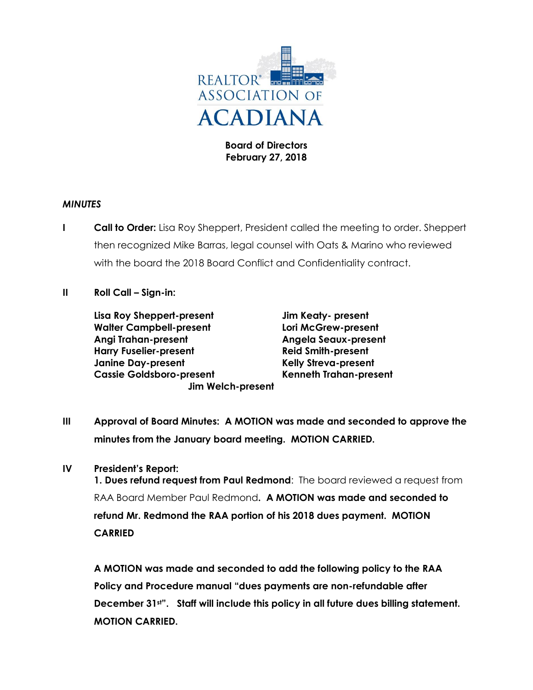

**Board of Directors February 27, 2018**

### *MINUTES*

- **I Call to Order:** Lisa Roy Sheppert, President called the meeting to order. Sheppert then recognized Mike Barras, legal counsel with Oats & Marino who reviewed with the board the 2018 Board Conflict and Confidentiality contract.
- **II Roll Call – Sign-in:**

**Lisa Roy Sheppert-present Jim Keaty- present Walter Campbell-present Lori McGrew-present Angi Trahan-present Angela Seaux-present Harry Fuselier-present Reid Smith-present Janine Day-present Kelly Streva-present Cassie Goldsboro-present Kenneth Trahan-present Jim Welch-present**

**III Approval of Board Minutes: A MOTION was made and seconded to approve the minutes from the January board meeting. MOTION CARRIED.**

# **IV President's Report:**

**1. Dues refund request from Paul Redmond**: The board reviewed a request from RAA Board Member Paul Redmond**. A MOTION was made and seconded to refund Mr. Redmond the RAA portion of his 2018 dues payment. MOTION CARRIED**

**A MOTION was made and seconded to add the following policy to the RAA Policy and Procedure manual "dues payments are non-refundable after December 31st". Staff will include this policy in all future dues billing statement. MOTION CARRIED.**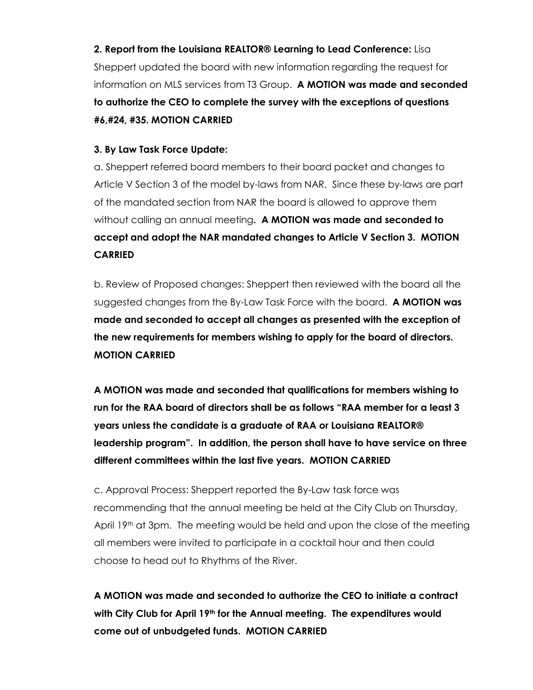**2. Report from the Louisiana REALTOR® Learning to Lead Conference:** Lisa Sheppert updated the board with new information regarding the request for information on MLS services from T3 Group. **A MOTION was made and seconded to authorize the CEO to complete the survey with the exceptions of questions #6,#24, #35. MOTION CARRIED**

## **3. By Law Task Force Update:**

a. Sheppert referred board members to their board packet and changes to Article V Section 3 of the model by-laws from NAR. Since these by-laws are part of the mandated section from NAR the board is allowed to approve them without calling an annual meeting**. A MOTION was made and seconded to accept and adopt the NAR mandated changes to Article V Section 3. MOTION CARRIED** 

b. Review of Proposed changes: Sheppert then reviewed with the board all the suggested changes from the By-Law Task Force with the board. **A MOTION was made and seconded to accept all changes as presented with the exception of the new requirements for members wishing to apply for the board of directors. MOTION CARRIED**

**A MOTION was made and seconded that qualifications for members wishing to run for the RAA board of directors shall be as follows "RAA member for a least 3 years unless the candidate is a graduate of RAA or Louisiana REALTOR® leadership program". In addition, the person shall have to have service on three different committees within the last five years. MOTION CARRIED**

c. Approval Process: Sheppert reported the By-Law task force was recommending that the annual meeting be held at the City Club on Thursday, April 19<sup>th</sup> at 3pm. The meeting would be held and upon the close of the meeting all members were invited to participate in a cocktail hour and then could choose to head out to Rhythms of the River.

**A MOTION was made and seconded to authorize the CEO to initiate a contract with City Club for April 19th for the Annual meeting. The expenditures would come out of unbudgeted funds. MOTION CARRIED**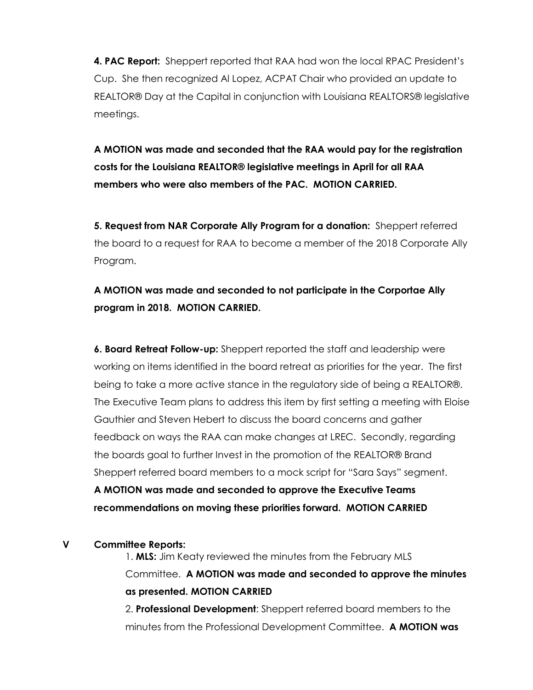**4. PAC Report:** Sheppert reported that RAA had won the local RPAC President's Cup. She then recognized Al Lopez, ACPAT Chair who provided an update to REALTOR® Day at the Capital in conjunction with Louisiana REALTORS® legislative meetings.

**A MOTION was made and seconded that the RAA would pay for the registration costs for the Louisiana REALTOR® legislative meetings in April for all RAA members who were also members of the PAC. MOTION CARRIED.** 

**5. Request from NAR Corporate Ally Program for a donation:** Sheppert referred the board to a request for RAA to become a member of the 2018 Corporate Ally Program.

**A MOTION was made and seconded to not participate in the Corportae Ally program in 2018. MOTION CARRIED.**

**6. Board Retreat Follow-up:** Sheppert reported the staff and leadership were working on items identified in the board retreat as priorities for the year. The first being to take a more active stance in the regulatory side of being a REALTOR®. The Executive Team plans to address this item by first setting a meeting with Eloise Gauthier and Steven Hebert to discuss the board concerns and gather feedback on ways the RAA can make changes at LREC. Secondly, regarding the boards goal to further Invest in the promotion of the REALTOR® Brand Sheppert referred board members to a mock script for "Sara Says" segment.

**A MOTION was made and seconded to approve the Executive Teams recommendations on moving these priorities forward. MOTION CARRIED**

### **V Committee Reports:**

1. **MLS:** Jim Keaty reviewed the minutes from the February MLS Committee. **A MOTION was made and seconded to approve the minutes as presented. MOTION CARRIED**

2. **Professional Development**: Sheppert referred board members to the minutes from the Professional Development Committee. **A MOTION was**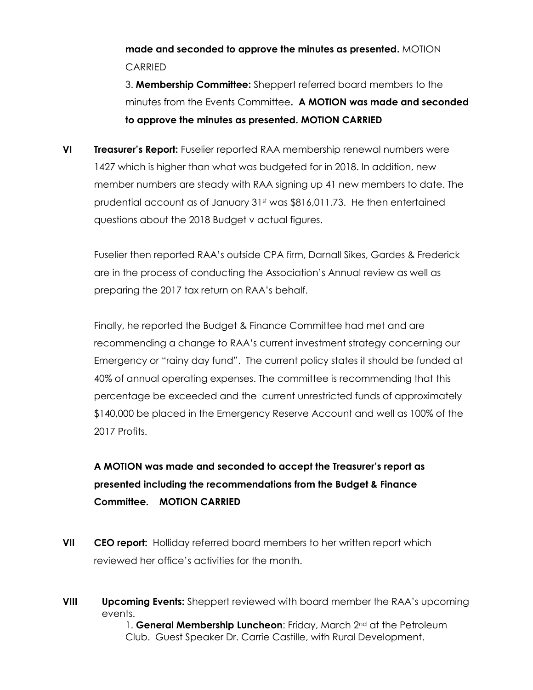**made and seconded to approve the minutes as presented.** MOTION **CARRIED** 

3. **Membership Committee:** Sheppert referred board members to the minutes from the Events Committee**. A MOTION was made and seconded to approve the minutes as presented. MOTION CARRIED**

**VI Treasurer's Report:** Fuselier reported RAA membership renewal numbers were 1427 which is higher than what was budgeted for in 2018. In addition, new member numbers are steady with RAA signing up 41 new members to date. The prudential account as of January  $31<sup>st</sup>$  was \$816,011.73. He then entertained questions about the 2018 Budget v actual figures.

Fuselier then reported RAA's outside CPA firm, Darnall Sikes, Gardes & Frederick are in the process of conducting the Association's Annual review as well as preparing the 2017 tax return on RAA's behalf.

Finally, he reported the Budget & Finance Committee had met and are recommending a change to RAA's current investment strategy concerning our Emergency or "rainy day fund". The current policy states it should be funded at 40% of annual operating expenses. The committee is recommending that this percentage be exceeded and the current unrestricted funds of approximately \$140,000 be placed in the Emergency Reserve Account and well as 100% of the 2017 Profits.

# **A MOTION was made and seconded to accept the Treasurer's report as presented including the recommendations from the Budget & Finance Committee. MOTION CARRIED**

- **VII CEO report:** Holliday referred board members to her written report which reviewed her office's activities for the month.
- **VIII Upcoming Events:** Sheppert reviewed with board member the RAA's upcoming events.

1. **General Membership Luncheon**: Friday, March 2nd at the Petroleum Club. Guest Speaker Dr. Carrie Castille, with Rural Development.